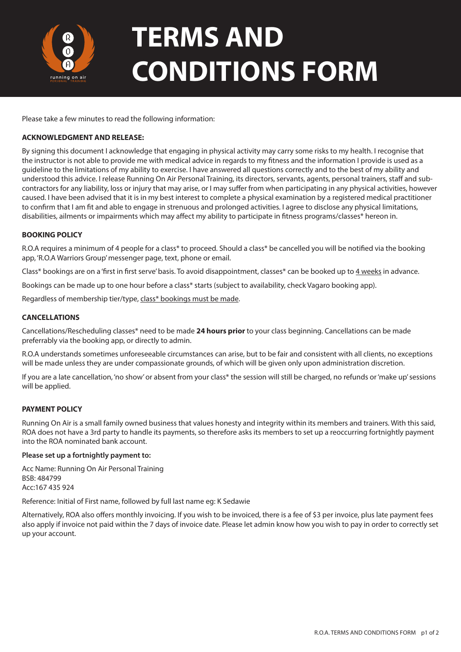

# **TERMS AND CONDITIONS FORM**

Please take a few minutes to read the following information:

## **ACKNOWLEDGMENT AND RELEASE:**

By signing this document I acknowledge that engaging in physical activity may carry some risks to my health. I recognise that the instructor is not able to provide me with medical advice in regards to my fitness and the information I provide is used as a guideline to the limitations of my ability to exercise. I have answered all questions correctly and to the best of my ability and understood this advice. I release Running On Air Personal Training, its directors, servants, agents, personal trainers, staff and subcontractors for any liability, loss or injury that may arise, or I may suffer from when participating in any physical activities, however caused. I have been advised that it is in my best interest to complete a physical examination by a registered medical practitioner to confirm that I am fit and able to engage in strenuous and prolonged activities. I agree to disclose any physical limitations, disabilities, ailments or impairments which may affect my ability to participate in fitness programs/classes\* hereon in.

## **BOOKING POLICY**

R.O.A requires a minimum of 4 people for a class\* to proceed. Should a class\* be cancelled you will be notified via the booking app, 'R.O.A Warriors Group' messenger page, text, phone or email.

Class\* bookings are on a 'first in first serve' basis. To avoid disappointment, classes\* can be booked up to 4 weeks in advance.

Bookings can be made up to one hour before a class\* starts (subject to availability, check Vagaro booking app).

Regardless of membership tier/type, class\* bookings must be made.

## **CANCELLATIONS**

Cancellations/Rescheduling classes\* need to be made **24 hours prior** to your class beginning. Cancellations can be made preferrably via the booking app, or directly to admin.

R.O.A understands sometimes unforeseeable circumstances can arise, but to be fair and consistent with all clients, no exceptions will be made unless they are under compassionate grounds, of which will be given only upon administration discretion.

If you are a late cancellation, 'no show' or absent from your class\* the session will still be charged, no refunds or 'make up' sessions will be applied.

## **PAYMENT POLICY**

Running On Air is a small family owned business that values honesty and integrity within its members and trainers. With this said, ROA does not have a 3rd party to handle its payments, so therefore asks its members to set up a reoccurring fortnightly payment into the ROA nominated bank account.

#### **Please set up a fortnightly payment to:**

Acc Name: Running On Air Personal Training BSB: 484799 Acc:167 435 924

Reference: Initial of First name, followed by full last name eg: K Sedawie

Alternatively, ROA also offers monthly invoicing. If you wish to be invoiced, there is a fee of \$3 per invoice, plus late payment fees also apply if invoice not paid within the 7 days of invoice date. Please let admin know how you wish to pay in order to correctly set up your account.